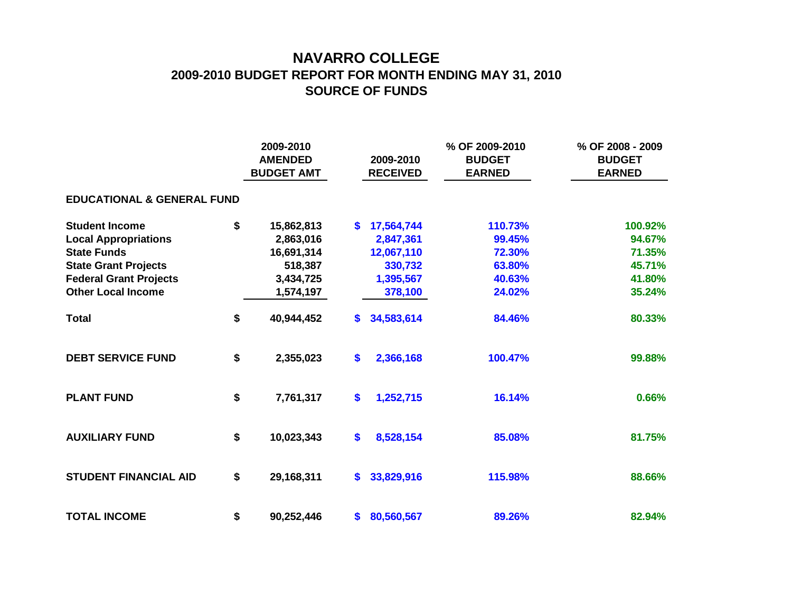## **NAVARRO COLLEGE 2009-2010 BUDGET REPORT FOR MONTH ENDING MAY 31, 2010 SOURCE OF FUNDS**

|                                       | 2009-2010<br><b>AMENDED</b><br><b>BUDGET AMT</b> |            |     | 2009-2010<br><b>RECEIVED</b> | % OF 2009-2010<br><b>BUDGET</b><br><b>EARNED</b> | % OF 2008 - 2009<br><b>BUDGET</b><br><b>EARNED</b> |  |  |  |  |  |  |  |
|---------------------------------------|--------------------------------------------------|------------|-----|------------------------------|--------------------------------------------------|----------------------------------------------------|--|--|--|--|--|--|--|
| <b>EDUCATIONAL &amp; GENERAL FUND</b> |                                                  |            |     |                              |                                                  |                                                    |  |  |  |  |  |  |  |
| <b>Student Income</b>                 | \$                                               | 15,862,813 | S.  | 17,564,744                   | 110.73%                                          | 100.92%                                            |  |  |  |  |  |  |  |
| <b>Local Appropriations</b>           |                                                  | 2,863,016  |     | 2,847,361                    | 99.45%                                           | 94.67%                                             |  |  |  |  |  |  |  |
| <b>State Funds</b>                    |                                                  | 16,691,314 |     | 12,067,110                   | 72.30%                                           | 71.35%                                             |  |  |  |  |  |  |  |
| <b>State Grant Projects</b>           |                                                  | 518,387    |     | 330,732                      | 63.80%                                           | 45.71%                                             |  |  |  |  |  |  |  |
| <b>Federal Grant Projects</b>         |                                                  | 3,434,725  |     | 1,395,567                    | 40.63%                                           | 41.80%                                             |  |  |  |  |  |  |  |
| <b>Other Local Income</b>             |                                                  | 1,574,197  |     | 378,100                      | 24.02%                                           | 35.24%                                             |  |  |  |  |  |  |  |
| <b>Total</b>                          | \$                                               | 40,944,452 | S.  | 34,583,614                   | 84.46%                                           | 80.33%                                             |  |  |  |  |  |  |  |
| <b>DEBT SERVICE FUND</b>              | \$                                               | 2,355,023  | \$  | 2,366,168                    | 100.47%                                          | 99.88%                                             |  |  |  |  |  |  |  |
| <b>PLANT FUND</b>                     | \$                                               | 7,761,317  | \$  | 1,252,715                    | 16.14%                                           | 0.66%                                              |  |  |  |  |  |  |  |
| <b>AUXILIARY FUND</b>                 | \$                                               | 10,023,343 | \$  | 8,528,154                    | 85.08%                                           | 81.75%                                             |  |  |  |  |  |  |  |
| <b>STUDENT FINANCIAL AID</b>          | \$                                               | 29,168,311 | \$. | 33,829,916                   | 115.98%                                          | 88.66%                                             |  |  |  |  |  |  |  |
| <b>TOTAL INCOME</b>                   | \$                                               | 90,252,446 | \$. | 80,560,567                   | 89.26%                                           | 82.94%                                             |  |  |  |  |  |  |  |